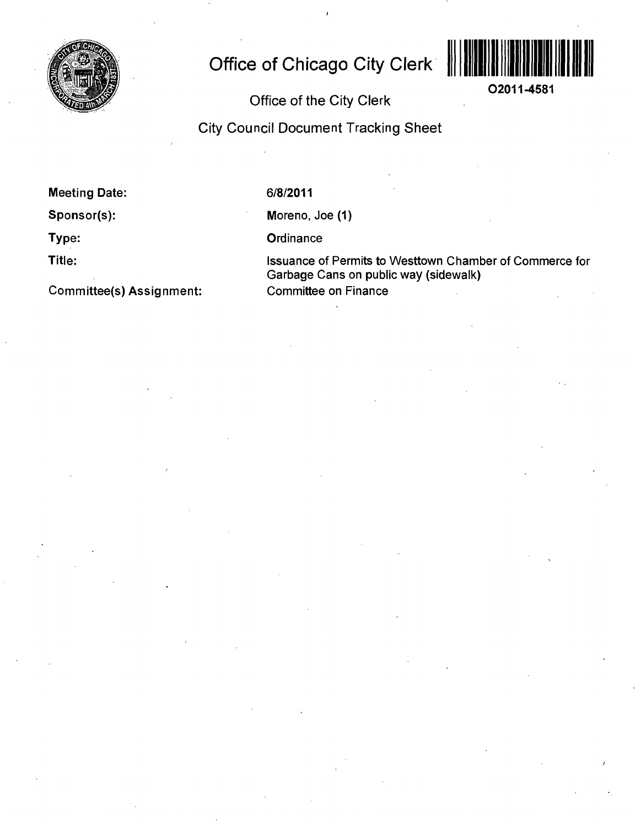

## **Office of Chicago City Clerk**



**O2011-4581** 

## Office of the City Clerk

City Council Document Tracking Sheet

Meeting Date:

Sponsor(s):

Type:

Title:

Committee(s) Assignment:

6/8/2011

Moreno, Joe (1)

**Ordinance** 

Issuance of Permits to Westtown Chamber of Commerce for Garbage Cans on public way (sidewalk) Committee on Finance